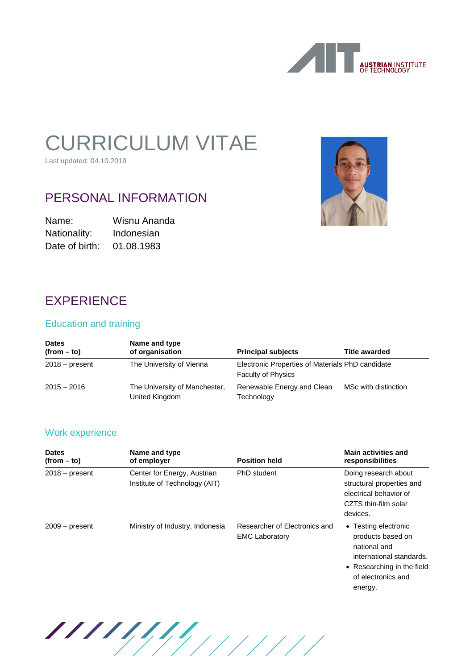

# CURRICULUM VITAE

Last updated: 04.10.2019

# PERSONAL INFORMATION

Name: Wisnu Ananda Nationality: Indonesian Date of birth: 01.08.1983



# **EXPERIENCE**

#### Education and training

| <b>Dates</b><br>$(from - to)$ | Name and type<br>of organisation                | <b>Principal subjects</b>                                                     | <b>Title awarded</b> |
|-------------------------------|-------------------------------------------------|-------------------------------------------------------------------------------|----------------------|
| $2018 - present$              | The University of Vienna                        | Electronic Properties of Materials PhD candidate<br><b>Faculty of Physics</b> |                      |
| $2015 - 2016$                 | The University of Manchester,<br>United Kingdom | Renewable Energy and Clean<br>Technology                                      | MSc with distinction |

### Work experience

| <b>Dates</b><br>$(from - to)$ | Name and type<br>of employer                                 | <b>Position held</b>                                   | <b>Main activities and</b><br>responsibilities                                                                                                       |
|-------------------------------|--------------------------------------------------------------|--------------------------------------------------------|------------------------------------------------------------------------------------------------------------------------------------------------------|
| $2018 - present$              | Center for Energy, Austrian<br>Institute of Technology (AIT) | PhD student                                            | Doing research about<br>structural properties and<br>electrical behavior of<br>CZTS thin-film solar<br>devices.                                      |
| $2009 - present$              | Ministry of Industry, Indonesia                              | Researcher of Electronics and<br><b>EMC Laboratory</b> | • Testing electronic<br>products based on<br>national and<br>international standards.<br>• Researching in the field<br>of electronics and<br>energy. |

11111111111111